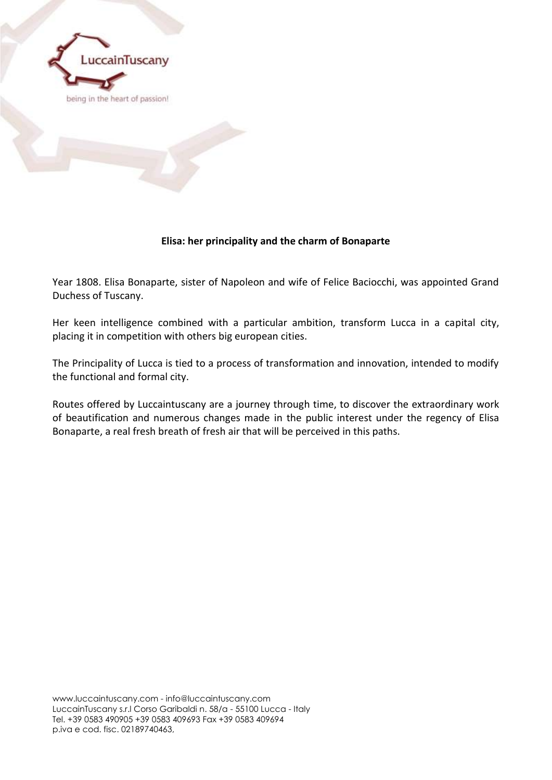

# **Elisa: her principality and the charm of Bonaparte**

Year 1808. Elisa Bonaparte, sister of Napoleon and wife of Felice Baciocchi, was appointed Grand Duchess of Tuscany.

Her keen intelligence combined with a particular ambition, transform Lucca in a capital city, placing it in competition with others big european cities.

The Principality of Lucca is tied to a process of transformation and innovation, intended to modify the functional and formal city.

Routes offered by Luccaintuscany are a journey through time, to discover the extraordinary work of beautification and numerous changes made in the public interest under the regency of Elisa Bonaparte, a real fresh breath of fresh air that will be perceived in this paths.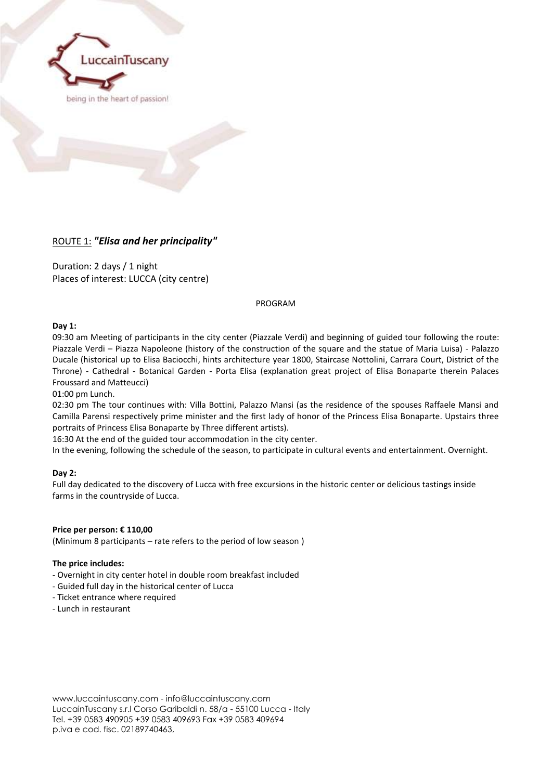

## ROUTE 1: *"Elisa and her principality"*

Duration: 2 days / 1 night Places of interest: LUCCA (city centre)

PROGRAM

## **Day 1:**

09:30 am Meeting of participants in the city center (Piazzale Verdi) and beginning of guided tour following the route: Piazzale Verdi – Piazza Napoleone (history of the construction of the square and the statue of Maria Luisa) - Palazzo Ducale (historical up to Elisa Baciocchi, hints architecture year 1800, Staircase Nottolini, Carrara Court, District of the Throne) - Cathedral - Botanical Garden - Porta Elisa (explanation great project of Elisa Bonaparte therein Palaces Froussard and Matteucci)

01:00 pm Lunch.

02:30 pm The tour continues with: Villa Bottini, Palazzo Mansi (as the residence of the spouses Raffaele Mansi and Camilla Parensi respectively prime minister and the first lady of honor of the Princess Elisa Bonaparte. Upstairs three portraits of Princess Elisa Bonaparte by Three different artists).

16:30 At the end of the guided tour accommodation in the city center.

In the evening, following the schedule of the season, to participate in cultural events and entertainment. Overnight.

## **Day 2:**

Full day dedicated to the discovery of Lucca with free excursions in the historic center or delicious tastings inside farms in the countryside of Lucca.

## **Price per person: € 110,00**

(Minimum 8 participants – rate refers to the period of low season )

#### **The price includes:**

- Overnight in city center hotel in double room breakfast included
- Guided full day in the historical center of Lucca
- Ticket entrance where required
- Lunch in restaurant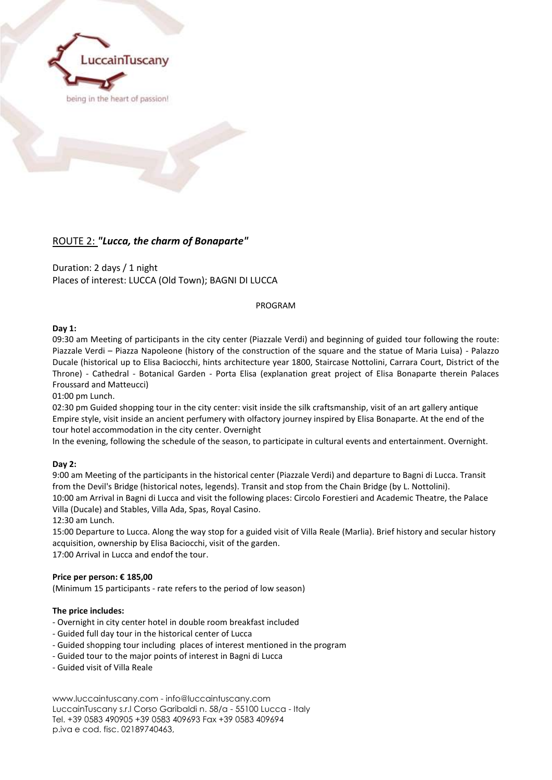

## ROUTE 2: *"Lucca, the charm of Bonaparte"*

Duration: 2 days / 1 night Places of interest: LUCCA (Old Town); BAGNI DI LUCCA

PROGRAM

## **Day 1:**

09:30 am Meeting of participants in the city center (Piazzale Verdi) and beginning of guided tour following the route: Piazzale Verdi – Piazza Napoleone (history of the construction of the square and the statue of Maria Luisa) - Palazzo Ducale (historical up to Elisa Baciocchi, hints architecture year 1800, Staircase Nottolini, Carrara Court, District of the Throne) - Cathedral - Botanical Garden - Porta Elisa (explanation great project of Elisa Bonaparte therein Palaces Froussard and Matteucci)

01:00 pm Lunch.

02:30 pm Guided shopping tour in the city center: visit inside the silk craftsmanship, visit of an art gallery antique Empire style, visit inside an ancient perfumery with olfactory journey inspired by Elisa Bonaparte. At the end of the tour hotel accommodation in the city center. Overnight

In the evening, following the schedule of the season, to participate in cultural events and entertainment. Overnight.

## **Day 2:**

9:00 am Meeting of the participants in the historical center (Piazzale Verdi) and departure to Bagni di Lucca. Transit from the Devil's Bridge (historical notes, legends). Transit and stop from the Chain Bridge (by L. Nottolini). 10:00 am Arrival in Bagni di Lucca and visit the following places: Circolo Forestieri and Academic Theatre, the Palace Villa (Ducale) and Stables, Villa Ada, Spas, Royal Casino.

12:30 am Lunch.

15:00 Departure to Lucca. Along the way stop for a guided visit of Villa Reale (Marlia). Brief history and secular history acquisition, ownership by Elisa Baciocchi, visit of the garden. 17:00 Arrival in Lucca and endof the tour.

**Price per person: € 185,00**

(Minimum 15 participants - rate refers to the period of low season)

## **The price includes:**

- Overnight in city center hotel in double room breakfast included
- Guided full day tour in the historical center of Lucca
- Guided shopping tour including places of interest mentioned in the program
- Guided tour to the major points of interest in Bagni di Lucca
- Guided visit of Villa Reale